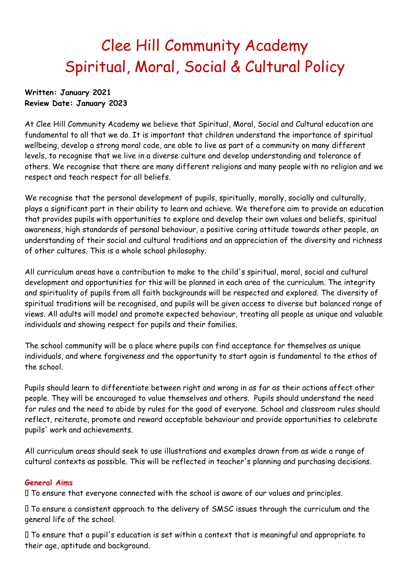# Clee Hill Community Academy Spiritual, Moral, Social & Cultural Policy

#### **Written: January 2021 Review Date: January 2023**

At Clee Hill Community Academy we believe that Spiritual, Moral, Social and Cultural education are fundamental to all that we do. It is important that children understand the importance of spiritual wellbeing, develop a strong moral code, are able to live as part of a community on many different levels, to recognise that we live in a diverse culture and develop understanding and tolerance of others. We recognise that there are many different religions and many people with no religion and we respect and teach respect for all beliefs.

We recognise that the personal development of pupils, spiritually, morally, socially and culturally, plays a significant part in their ability to learn and achieve. We therefore aim to provide an education that provides pupils with opportunities to explore and develop their own values and beliefs, spiritual awareness, high standards of personal behaviour, a positive caring attitude towards other people, an understanding of their social and cultural traditions and an appreciation of the diversity and richness of other cultures. This is a whole school philosophy.

All curriculum areas have a contribution to make to the child's spiritual, moral, social and cultural development and opportunities for this will be planned in each area of the curriculum. The integrity and spirituality of pupils from all faith backgrounds will be respected and explored. The diversity of spiritual traditions will be recognised, and pupils will be given access to diverse but balanced range of views. All adults will model and promote expected behaviour, treating all people as unique and valuable individuals and showing respect for pupils and their families.

The school community will be a place where pupils can find acceptance for themselves as unique individuals, and where forgiveness and the opportunity to start again is fundamental to the ethos of the school.

Pupils should learn to differentiate between right and wrong in as far as their actions affect other people. They will be encouraged to value themselves and others. Pupils should understand the need for rules and the need to abide by rules for the good of everyone. School and classroom rules should reflect, reiterate, promote and reward acceptable behaviour and provide opportunities to celebrate pupils' work and achievements.

All curriculum areas should seek to use illustrations and examples drawn from as wide a range of cultural contexts as possible. This will be reflected in teacher's planning and purchasing decisions.

# **General Aims**

To ensure that everyone connected with the school is aware of our values and principles.

To ensure a consistent approach to the delivery of SMSC issues through the curriculum and the general life of the school.

 $\Box$  To ensure that a pupil's education is set within a context that is meaningful and appropriate to their age, aptitude and background.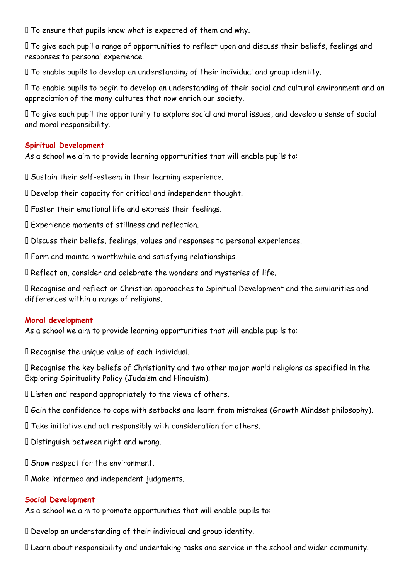$\Box$  To ensure that pupils know what is expected of them and why.

To give each pupil a range of opportunities to reflect upon and discuss their beliefs, feelings and responses to personal experience.

To enable pupils to develop an understanding of their individual and group identity.

To enable pupils to begin to develop an understanding of their social and cultural environment and an appreciation of the many cultures that now enrich our society.

To give each pupil the opportunity to explore social and moral issues, and develop a sense of social and moral responsibility.

## **Spiritual Development**

As a school we aim to provide learning opportunities that will enable pupils to:

Sustain their self-esteem in their learning experience.

Develop their capacity for critical and independent thought.

Foster their emotional life and express their feelings.

Experience moments of stillness and reflection.

Discuss their beliefs, feelings, values and responses to personal experiences.

Form and maintain worthwhile and satisfying relationships.

Reflect on, consider and celebrate the wonders and mysteries of life.

Recognise and reflect on Christian approaches to Spiritual Development and the similarities and differences within a range of religions.

# **Moral development**

As a school we aim to provide learning opportunities that will enable pupils to:

Recognise the unique value of each individual.

Recognise the key beliefs of Christianity and two other major world religions as specified in the Exploring Spirituality Policy (Judaism and Hinduism).

Listen and respond appropriately to the views of others.

Gain the confidence to cope with setbacks and learn from mistakes (Growth Mindset philosophy).

Take initiative and act responsibly with consideration for others.

Distinguish between right and wrong.

 $\Box$  Show respect for the environment.

Make informed and independent judgments.

#### **Social Development**

As a school we aim to promote opportunities that will enable pupils to:

Develop an understanding of their individual and group identity.

Learn about responsibility and undertaking tasks and service in the school and wider community.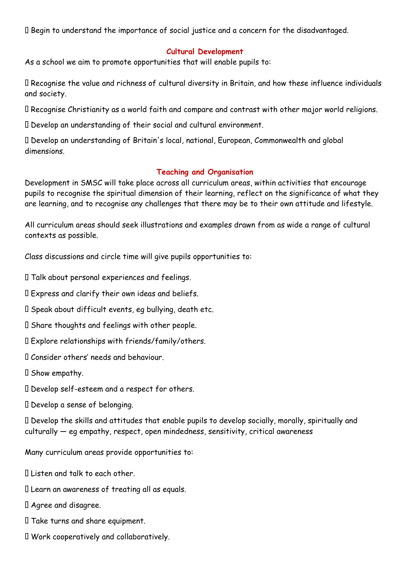Begin to understand the importance of social justice and a concern for the disadvantaged.

## **Cultural Development**

As a school we aim to promote opportunities that will enable pupils to:

Recognise the value and richness of cultural diversity in Britain, and how these influence individuals and society.

Recognise Christianity as a world faith and compare and contrast with other major world religions.

Develop an understanding of their social and cultural environment.

Develop an understanding of Britain's local, national, European, Commonwealth and global dimensions.

## **Teaching and Organisation**

Development in SMSC will take place across all curriculum areas, within activities that encourage pupils to recognise the spiritual dimension of their learning, reflect on the significance of what they are learning, and to recognise any challenges that there may be to their own attitude and lifestyle.

All curriculum areas should seek illustrations and examples drawn from as wide a range of cultural contexts as possible.

Class discussions and circle time will give pupils opportunities to:

Talk about personal experiences and feelings.

Express and clarify their own ideas and beliefs.

Speak about difficult events, eg bullying, death etc.

Share thoughts and feelings with other people.

Explore relationships with friends/family/others.

Consider others' needs and behaviour.

 $\Box$  Show empathy.

Develop self-esteem and a respect for others.

Develop a sense of belonging.

Develop the skills and attitudes that enable pupils to develop socially, morally, spiritually and culturally — eg empathy, respect, open mindedness, sensitivity, critical awareness

Many curriculum areas provide opportunities to:

Listen and talk to each other.

Learn an awareness of treating all as equals.

Agree and disagree.

Take turns and share equipment.

Work cooperatively and collaboratively.